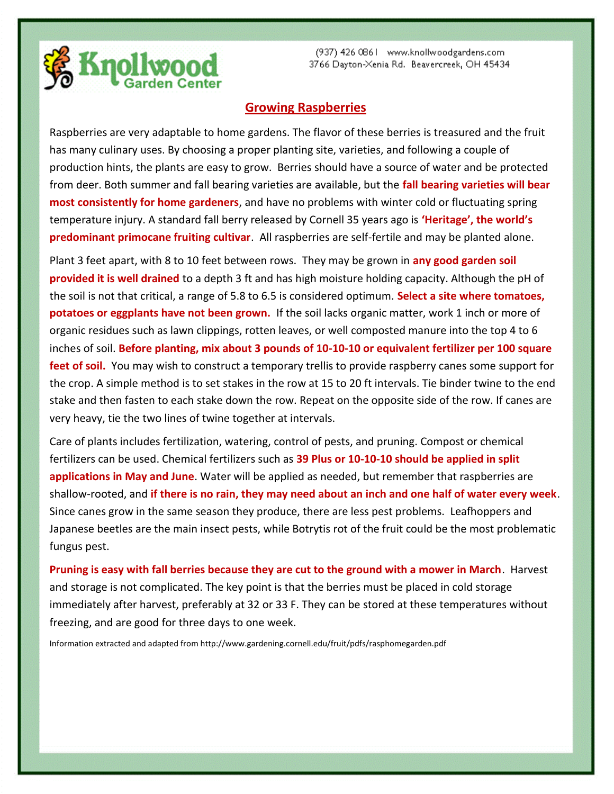

## **Growing Raspberries**

Raspberries are very adaptable to home gardens. The flavor of these berries is treasured and the fruit has many culinary uses. By choosing a proper planting site, varieties, and following a couple of production hints, the plants are easy to grow. Berries should have a source of water and be protected from deer. Both summer and fall bearing varieties are available, but the **fall bearing varieties will bear most consistently for home gardeners**, and have no problems with winter cold or fluctuating spring temperature injury. A standard fall berry released by Cornell 35 years ago is **'Heritage', the world's predominant primocane fruiting cultivar**. All raspberries are self-fertile and may be planted alone.

Plant 3 feet apart, with 8 to 10 feet between rows. They may be grown in **any good garden soil provided it is well drained** to a depth 3 ft and has high moisture holding capacity. Although the pH of the soil is not that critical, a range of 5.8 to 6.5 is considered optimum. **Select a site where tomatoes, potatoes or eggplants have not been grown.** If the soil lacks organic matter, work 1 inch or more of organic residues such as lawn clippings, rotten leaves, or well composted manure into the top 4 to 6 inches of soil. **Before planting, mix about 3 pounds of 10-10-10 or equivalent fertilizer per 100 square feet of soil.** You may wish to construct a temporary trellis to provide raspberry canes some support for the crop. A simple method is to set stakes in the row at 15 to 20 ft intervals. Tie binder twine to the end stake and then fasten to each stake down the row. Repeat on the opposite side of the row. If canes are very heavy, tie the two lines of twine together at intervals.

Care of plants includes fertilization, watering, control of pests, and pruning. Compost or chemical fertilizers can be used. Chemical fertilizers such as **39 Plus or 10-10-10 should be applied in split applications in May and June**. Water will be applied as needed, but remember that raspberries are shallow-rooted, and **if there is no rain, they may need about an inch and one half of water every week**. Since canes grow in the same season they produce, there are less pest problems. Leafhoppers and Japanese beetles are the main insect pests, while Botrytis rot of the fruit could be the most problematic fungus pest.

**Pruning is easy with fall berries because they are cut to the ground with a mower in March**. Harvest and storage is not complicated. The key point is that the berries must be placed in cold storage immediately after harvest, preferably at 32 or 33 F. They can be stored at these temperatures without freezing, and are good for three days to one week.

Information extracted and adapted from http://www.gardening.cornell.edu/fruit/pdfs/rasphomegarden.pdf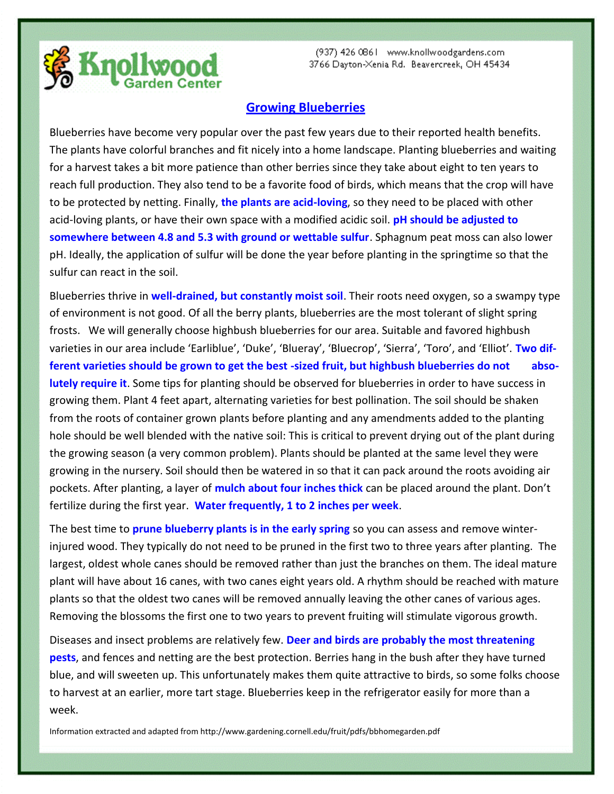

## **Growing Blueberries**

Blueberries have become very popular over the past few years due to their reported health benefits. The plants have colorful branches and fit nicely into a home landscape. Planting blueberries and waiting for a harvest takes a bit more patience than other berries since they take about eight to ten years to reach full production. They also tend to be a favorite food of birds, which means that the crop will have to be protected by netting. Finally, **the plants are acid-loving**, so they need to be placed with other acid-loving plants, or have their own space with a modified acidic soil. **pH should be adjusted to somewhere between 4.8 and 5.3 with ground or wettable sulfur**. Sphagnum peat moss can also lower pH. Ideally, the application of sulfur will be done the year before planting in the springtime so that the sulfur can react in the soil.

Blueberries thrive in **well-drained, but constantly moist soil**. Their roots need oxygen, so a swampy type of environment is not good. Of all the berry plants, blueberries are the most tolerant of slight spring frosts. We will generally choose highbush blueberries for our area. Suitable and favored highbush varieties in our area include 'Earliblue', 'Duke', 'Blueray', 'Bluecrop', 'Sierra', 'Toro', and 'Elliot'. **Two different varieties should be grown to get the best -sized fruit, but highbush blueberries do not absolutely require it**. Some tips for planting should be observed for blueberries in order to have success in growing them. Plant 4 feet apart, alternating varieties for best pollination. The soil should be shaken from the roots of container grown plants before planting and any amendments added to the planting hole should be well blended with the native soil: This is critical to prevent drying out of the plant during the growing season (a very common problem). Plants should be planted at the same level they were growing in the nursery. Soil should then be watered in so that it can pack around the roots avoiding air pockets. After planting, a layer of **mulch about four inches thick** can be placed around the plant. Don't fertilize during the first year. **Water frequently, 1 to 2 inches per week**.

The best time to **prune blueberry plants is in the early spring** so you can assess and remove winterinjured wood. They typically do not need to be pruned in the first two to three years after planting. The largest, oldest whole canes should be removed rather than just the branches on them. The ideal mature plant will have about 16 canes, with two canes eight years old. A rhythm should be reached with mature plants so that the oldest two canes will be removed annually leaving the other canes of various ages. Removing the blossoms the first one to two years to prevent fruiting will stimulate vigorous growth.

Diseases and insect problems are relatively few. **Deer and birds are probably the most threatening pests**, and fences and netting are the best protection. Berries hang in the bush after they have turned blue, and will sweeten up. This unfortunately makes them quite attractive to birds, so some folks choose to harvest at an earlier, more tart stage. Blueberries keep in the refrigerator easily for more than a week.

Information extracted and adapted from http://www.gardening.cornell.edu/fruit/pdfs/bbhomegarden.pdf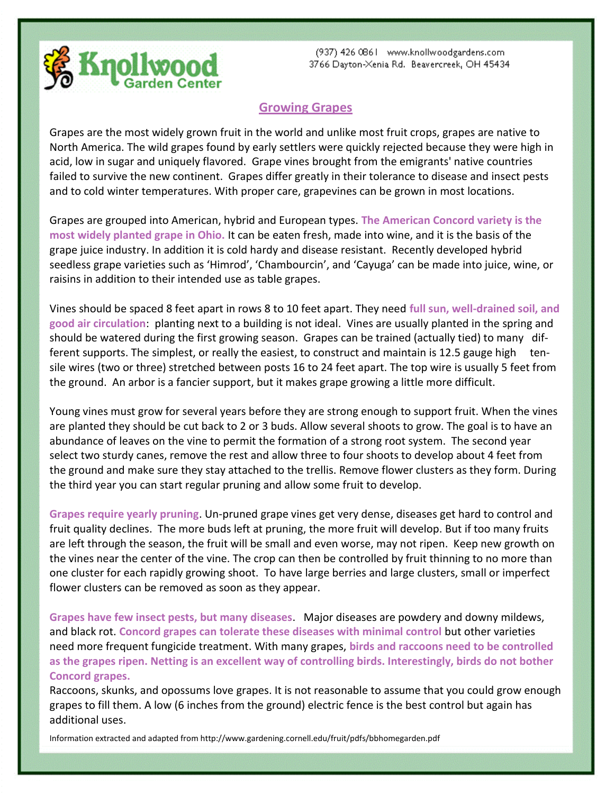

## **Growing Grapes**

Grapes are the most widely grown fruit in the world and unlike most fruit crops, grapes are native to North America. The wild grapes found by early settlers were quickly rejected because they were high in acid, low in sugar and uniquely flavored. Grape vines brought from the emigrants' native countries failed to survive the new continent. Grapes differ greatly in their tolerance to disease and insect pests and to cold winter temperatures. With proper care, grapevines can be grown in most locations.

Grapes are grouped into American, hybrid and European types. **The American Concord variety is the most widely planted grape in Ohio.** It can be eaten fresh, made into wine, and it is the basis of the grape juice industry. In addition it is cold hardy and disease resistant. Recently developed hybrid seedless grape varieties such as 'Himrod', 'Chambourcin', and 'Cayuga' can be made into juice, wine, or raisins in addition to their intended use as table grapes.

Vines should be spaced 8 feet apart in rows 8 to 10 feet apart. They need **full sun, well-drained soil, and good air circulation**: planting next to a building is not ideal. Vines are usually planted in the spring and should be watered during the first growing season. Grapes can be trained (actually tied) to many different supports. The simplest, or really the easiest, to construct and maintain is 12.5 gauge high tensile wires (two or three) stretched between posts 16 to 24 feet apart. The top wire is usually 5 feet from the ground. An arbor is a fancier support, but it makes grape growing a little more difficult.

Young vines must grow for several years before they are strong enough to support fruit. When the vines are planted they should be cut back to 2 or 3 buds. Allow several shoots to grow. The goal is to have an abundance of leaves on the vine to permit the formation of a strong root system. The second year select two sturdy canes, remove the rest and allow three to four shoots to develop about 4 feet from the ground and make sure they stay attached to the trellis. Remove flower clusters as they form. During the third year you can start regular pruning and allow some fruit to develop.

**Grapes require yearly pruning**. Un-pruned grape vines get very dense, diseases get hard to control and fruit quality declines. The more buds left at pruning, the more fruit will develop. But if too many fruits are left through the season, the fruit will be small and even worse, may not ripen. Keep new growth on the vines near the center of the vine. The crop can then be controlled by fruit thinning to no more than one cluster for each rapidly growing shoot. To have large berries and large clusters, small or imperfect flower clusters can be removed as soon as they appear.

**Grapes have few insect pests, but many diseases**. Major diseases are powdery and downy mildews, and black rot. **Concord grapes can tolerate these diseases with minimal control** but other varieties need more frequent fungicide treatment. With many grapes, **birds and raccoons need to be controlled as the grapes ripen. Netting is an excellent way of controlling birds. Interestingly, birds do not bother Concord grapes.** 

Raccoons, skunks, and opossums love grapes. It is not reasonable to assume that you could grow enough grapes to fill them. A low (6 inches from the ground) electric fence is the best control but again has additional uses.

Information extracted and adapted from http://www.gardening.cornell.edu/fruit/pdfs/bbhomegarden.pdf